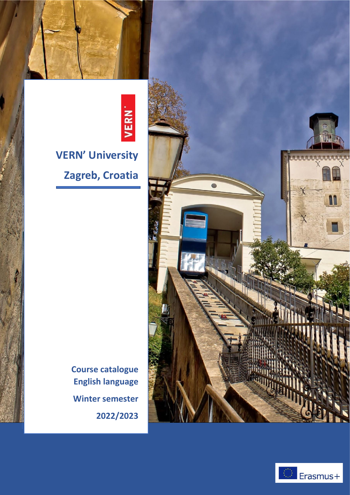



## **VERN' University <sup>a</sup> Zagreb, Croatia <sup>a</sup>**

**Course catalogue a English language a Winter semester a 2022/2023 a**



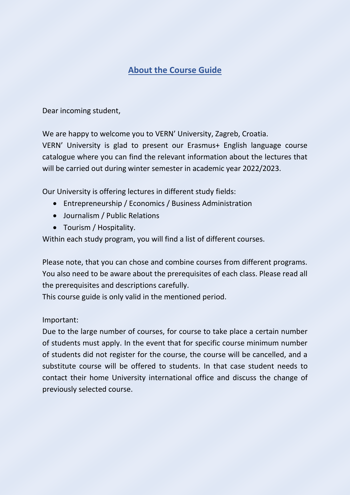## **About the Course Guide**

Dear incoming student,

We are happy to welcome you to VERN' University, Zagreb, Croatia.

VERN' University is glad to present our Erasmus+ English language course catalogue where you can find the relevant information about the lectures that will be carried out during winter semester in academic year 2022/2023.

Our University is offering lectures in different study fields:

- Entrepreneurship / Economics / Business Administration
- Journalism / Public Relations
- Tourism / Hospitality.

Within each study program, you will find a list of different courses.

Please note, that you can chose and combine courses from different programs. You also need to be aware about the prerequisites of each class. Please read all the prerequisites and descriptions carefully.

This course guide is only valid in the mentioned period.

Important:

Due to the large number of courses, for course to take place a certain number of students must apply. In the event that for specific course minimum number of students did not register for the course, the course will be cancelled, and a substitute course will be offered to students. In that case student needs to contact their home University international office and discuss the change of previously selected course.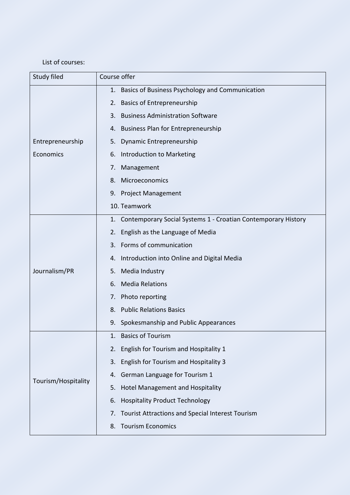## List of courses:

| Study filed         | Course offer                                                     |
|---------------------|------------------------------------------------------------------|
|                     | 1. Basics of Business Psychology and Communication               |
|                     | 2. Basics of Entrepreneurship                                    |
|                     | 3. Business Administration Software                              |
|                     | 4. Business Plan for Entrepreneurship                            |
| Entrepreneurship    | 5. Dynamic Entrepreneurship                                      |
| Economics           | 6. Introduction to Marketing                                     |
|                     | Management<br>$\prime$ .                                         |
|                     | Microeconomics<br>8.                                             |
|                     | 9. Project Management                                            |
|                     | 10. Teamwork                                                     |
|                     | 1. Contemporary Social Systems 1 - Croatian Contemporary History |
|                     | 2. English as the Language of Media                              |
|                     | 3. Forms of communication                                        |
|                     | 4. Introduction into Online and Digital Media                    |
| Journalism/PR       | 5. Media Industry                                                |
|                     | <b>Media Relations</b><br>6.                                     |
|                     | 7. Photo reporting                                               |
|                     | 8. Public Relations Basics                                       |
|                     | Spokesmanship and Public Appearances<br>9.                       |
|                     | <b>Basics of Tourism</b><br>1.                                   |
|                     | English for Tourism and Hospitality 1<br>2.                      |
|                     | English for Tourism and Hospitality 3<br>3.                      |
|                     | German Language for Tourism 1<br>4.                              |
| Tourism/Hospitality | 5. Hotel Management and Hospitality                              |
|                     | <b>Hospitality Product Technology</b><br>6.                      |
|                     | <b>Tourist Attractions and Special Interest Tourism</b><br>7.    |
|                     | <b>Tourism Economics</b><br>8.                                   |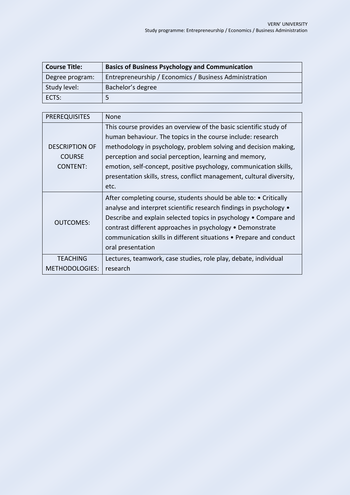| <b>Course Title:</b> | <b>Basics of Business Psychology and Communication</b> |
|----------------------|--------------------------------------------------------|
| Degree program:      | Entrepreneurship / Economics / Business Administration |
| Study level:         | Bachelor's degree                                      |
| ECTS:                | 5                                                      |

| <b>PREREQUISITES</b>  | None                                                                                                                                                                                                                                                                                                                                                                |
|-----------------------|---------------------------------------------------------------------------------------------------------------------------------------------------------------------------------------------------------------------------------------------------------------------------------------------------------------------------------------------------------------------|
|                       | This course provides an overview of the basic scientific study of                                                                                                                                                                                                                                                                                                   |
|                       | human behaviour. The topics in the course include: research                                                                                                                                                                                                                                                                                                         |
| <b>DESCRIPTION OF</b> | methodology in psychology, problem solving and decision making,                                                                                                                                                                                                                                                                                                     |
| <b>COURSE</b>         | perception and social perception, learning and memory,                                                                                                                                                                                                                                                                                                              |
| <b>CONTENT:</b>       | emotion, self-concept, positive psychology, communication skills,                                                                                                                                                                                                                                                                                                   |
|                       | presentation skills, stress, conflict management, cultural diversity,                                                                                                                                                                                                                                                                                               |
|                       | etc.                                                                                                                                                                                                                                                                                                                                                                |
|                       |                                                                                                                                                                                                                                                                                                                                                                     |
| <b>OUTCOMES:</b>      | After completing course, students should be able to: • Critically<br>analyse and interpret scientific research findings in psychology •<br>Describe and explain selected topics in psychology • Compare and<br>contrast different approaches in psychology • Demonstrate<br>communication skills in different situations • Prepare and conduct<br>oral presentation |
| <b>TEACHING</b>       | Lectures, teamwork, case studies, role play, debate, individual                                                                                                                                                                                                                                                                                                     |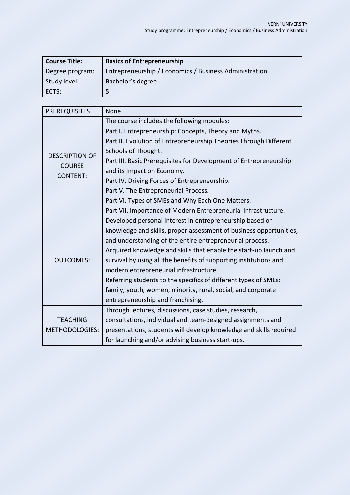| <b>Course Title:</b> | <b>Basics of Entrepreneurship</b>                      |
|----------------------|--------------------------------------------------------|
| Degree program:      | Entrepreneurship / Economics / Business Administration |
| Study level:         | Bachelor's degree                                      |
| ECTS:                | ∽                                                      |

| <b>PREREQUISITES</b>  | None                                                               |
|-----------------------|--------------------------------------------------------------------|
| <b>DESCRIPTION OF</b> | The course includes the following modules:                         |
|                       | Part I. Entrepreneurship: Concepts, Theory and Myths.              |
|                       | Part II. Evolution of Entrepreneurship Theories Through Different  |
|                       | Schools of Thought.                                                |
| <b>COURSE</b>         | Part III. Basic Prerequisites for Development of Entrepreneurship  |
| <b>CONTENT:</b>       | and its Impact on Economy.                                         |
|                       | Part IV. Driving Forces of Entrepreneurship.                       |
|                       | Part V. The Entrepreneurial Process.                               |
|                       | Part VI. Types of SMEs and Why Each One Matters.                   |
|                       | Part VII. Importance of Modern Entrepreneurial Infrastructure.     |
|                       | Developed personal interest in entrepreneurship based on           |
|                       | knowledge and skills, proper assessment of business opportunities, |
|                       | and understanding of the entire entrepreneurial process.           |
|                       | Acquired knowledge and skills that enable the start-up launch and  |
| <b>OUTCOMES:</b>      | survival by using all the benefits of supporting institutions and  |
|                       | modern entrepreneurial infrastructure.                             |
|                       | Referring students to the specifics of different types of SMEs:    |
|                       | family, youth, women, minority, rural, social, and corporate       |
|                       | entrepreneurship and franchising.                                  |
|                       | Through lectures, discussions, case studies, research,             |
| <b>TEACHING</b>       | consultations, individual and team-designed assignments and        |
| <b>METHODOLOGIES:</b> | presentations, students will develop knowledge and skills required |
|                       | for launching and/or advising business start-ups.                  |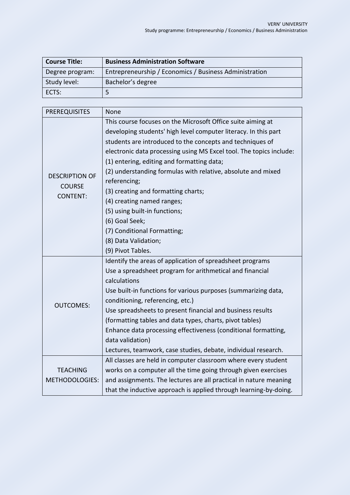| <b>Course Title:</b> | <b>Business Administration Software</b>                |
|----------------------|--------------------------------------------------------|
| Degree program:      | Entrepreneurship / Economics / Business Administration |
| Study level:         | Bachelor's degree                                      |
| ECTS:                | 5                                                      |

| <b>PREREQUISITES</b>  | None                                                                |
|-----------------------|---------------------------------------------------------------------|
|                       | This course focuses on the Microsoft Office suite aiming at         |
|                       | developing students' high level computer literacy. In this part     |
|                       | students are introduced to the concepts and techniques of           |
|                       | electronic data processing using MS Excel tool. The topics include: |
|                       | (1) entering, editing and formatting data;                          |
| <b>DESCRIPTION OF</b> | (2) understanding formulas with relative, absolute and mixed        |
| <b>COURSE</b>         | referencing;                                                        |
| <b>CONTENT:</b>       | (3) creating and formatting charts;                                 |
|                       | (4) creating named ranges;                                          |
|                       | (5) using built-in functions;                                       |
|                       | (6) Goal Seek;                                                      |
|                       | (7) Conditional Formatting;                                         |
|                       | (8) Data Validation;                                                |
|                       | (9) Pivot Tables.                                                   |
|                       | Identify the areas of application of spreadsheet programs           |
|                       | Use a spreadsheet program for arithmetical and financial            |
|                       | calculations                                                        |
|                       | Use built-in functions for various purposes (summarizing data,      |
| <b>OUTCOMES:</b>      | conditioning, referencing, etc.)                                    |
|                       | Use spreadsheets to present financial and business results          |
|                       | (formatting tables and data types, charts, pivot tables)            |
|                       | Enhance data processing effectiveness (conditional formatting,      |
|                       | data validation)                                                    |
|                       | Lectures, teamwork, case studies, debate, individual research.      |
|                       | All classes are held in computer classroom where every student      |
| <b>TEACHING</b>       | works on a computer all the time going through given exercises      |
| <b>METHODOLOGIES:</b> | and assignments. The lectures are all practical in nature meaning   |
|                       | that the inductive approach is applied through learning-by-doing.   |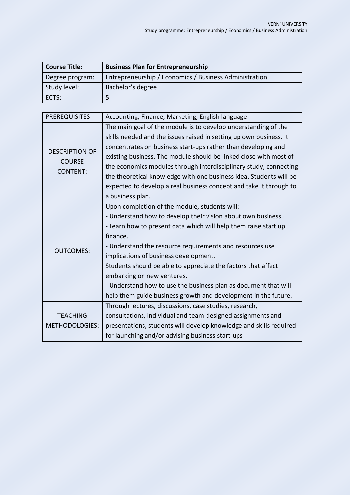| <b>Course Title:</b> | <b>Business Plan for Entrepreneurship</b>              |
|----------------------|--------------------------------------------------------|
| Degree program:      | Entrepreneurship / Economics / Business Administration |
| Study level:         | Bachelor's degree                                      |
| ECTS:                |                                                        |

| <b>PREREQUISITES</b>  | Accounting, Finance, Marketing, English language                   |
|-----------------------|--------------------------------------------------------------------|
| <b>DESCRIPTION OF</b> | The main goal of the module is to develop understanding of the     |
|                       | skills needed and the issues raised in setting up own business. It |
|                       | concentrates on business start-ups rather than developing and      |
| <b>COURSE</b>         | existing business. The module should be linked close with most of  |
| <b>CONTENT:</b>       | the economics modules through interdisciplinary study, connecting  |
|                       | the theoretical knowledge with one business idea. Students will be |
|                       | expected to develop a real business concept and take it through to |
|                       | a business plan.                                                   |
|                       | Upon completion of the module, students will:                      |
|                       | - Understand how to develop their vision about own business.       |
|                       | - Learn how to present data which will help them raise start up    |
|                       | finance.                                                           |
| <b>OUTCOMES:</b>      | - Understand the resource requirements and resources use           |
|                       | implications of business development.                              |
|                       | Students should be able to appreciate the factors that affect      |
|                       | embarking on new ventures.                                         |
|                       | - Understand how to use the business plan as document that will    |
|                       | help them guide business growth and development in the future.     |
|                       | Through lectures, discussions, case studies, research,             |
| <b>TEACHING</b>       | consultations, individual and team-designed assignments and        |
| <b>METHODOLOGIES:</b> | presentations, students will develop knowledge and skills required |
|                       | for launching and/or advising business start-ups                   |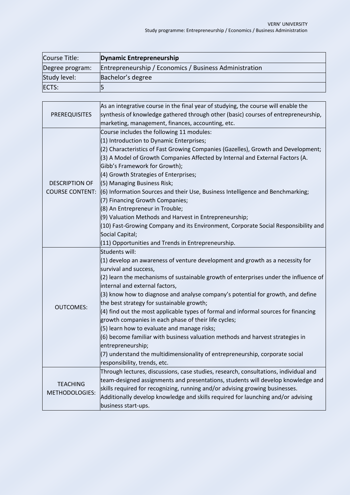| Course Title:   | Dynamic Entrepreneurship                               |
|-----------------|--------------------------------------------------------|
| Degree program: | Entrepreneurship / Economics / Business Administration |
| Study level:    | Bachelor's degree                                      |
| ECTS:           |                                                        |

|                        | As an integrative course in the final year of studying, the course will enable the   |
|------------------------|--------------------------------------------------------------------------------------|
| <b>PREREQUISITES</b>   | synthesis of knowledge gathered through other (basic) courses of entrepreneurship,   |
|                        | marketing, management, finances, accounting, etc.                                    |
|                        | Course includes the following 11 modules:                                            |
|                        | (1) Introduction to Dynamic Enterprises;                                             |
|                        | (2) Characteristics of Fast Growing Companies (Gazelles), Growth and Development;    |
|                        | (3) A Model of Growth Companies Affected by Internal and External Factors (A.        |
|                        | Gibb's Framework for Growth);                                                        |
|                        | (4) Growth Strategies of Enterprises;                                                |
| <b>DESCRIPTION OF</b>  | (5) Managing Business Risk;                                                          |
| <b>COURSE CONTENT:</b> | (6) Information Sources and their Use, Business Intelligence and Benchmarking;       |
|                        | (7) Financing Growth Companies;                                                      |
|                        | (8) An Entrepreneur in Trouble;                                                      |
|                        | (9) Valuation Methods and Harvest in Entrepreneurship;                               |
|                        | (10) Fast-Growing Company and its Environment, Corporate Social Responsibility and   |
|                        | Social Capital;                                                                      |
|                        | (11) Opportunities and Trends in Entrepreneurship.                                   |
|                        | Students will:                                                                       |
|                        | $(1)$ develop an awareness of venture development and growth as a necessity for      |
|                        | survival and success,                                                                |
|                        | (2) learn the mechanisms of sustainable growth of enterprises under the influence of |
|                        | internal and external factors,                                                       |
|                        | (3) know how to diagnose and analyse company's potential for growth, and define      |
| <b>OUTCOMES:</b>       | the best strategy for sustainable growth;                                            |
|                        | (4) find out the most applicable types of formal and informal sources for financing  |
|                        | growth companies in each phase of their life cycles;                                 |
|                        | (5) learn how to evaluate and manage risks;                                          |
|                        | (6) become familiar with business valuation methods and harvest strategies in        |
|                        | entrepreneurship;                                                                    |
|                        | $(7)$ understand the multidimensionality of entrepreneurship, corporate social       |
|                        | responsibility, trends, etc.                                                         |
|                        | Through lectures, discussions, case studies, research, consultations, individual and |
| <b>TEACHING</b>        | team-designed assignments and presentations, students will develop knowledge and     |
|                        | skills required for recognizing, running and/or advising growing businesses.         |
| METHODOLOGIES:         | Additionally develop knowledge and skills required for launching and/or advising     |
|                        | business start-ups.                                                                  |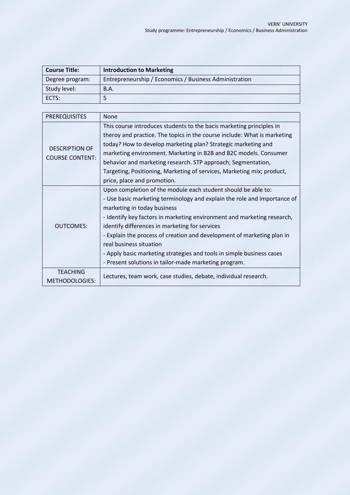| <b>Course Title:</b> | <b>Introduction to Marketing</b>                       |
|----------------------|--------------------------------------------------------|
| Degree program:      | Entrepreneurship / Economics / Business Administration |
| Study level:         | <b>B.A.</b>                                            |
| ECTS:                |                                                        |

| <b>PREREQUISITES</b>   | <b>None</b>                                                              |
|------------------------|--------------------------------------------------------------------------|
| <b>DESCRIPTION OF</b>  | This course introduces students to the bacis marketing principles in     |
|                        | theroy and practice. The topics in the course include: What is marketing |
|                        | today? How to develop marketing plan? Strategic marketing and            |
|                        | marketing environment. Marketing in B2B and B2C models. Consumer         |
| <b>COURSE CONTENT:</b> | behavior and marketing research. STP approach; Segmentation,             |
|                        | Targeting, Positioning, Marketing of services, Marketing mix; product,   |
|                        | price, place and promotion.                                              |
|                        | Upon completion of the module each student should be able to:            |
|                        | - Use basic marketing terminology and explain the role and importance of |
|                        | marketing in today business                                              |
|                        | - Identify key factors in marketing environment and marketing research,  |
| <b>OUTCOMES:</b>       | identify differences in marketing for services                           |
|                        | - Explain the process of creation and development of marketing plan in   |
|                        | real business situation                                                  |
|                        | - Apply basic marketing strategies and tools in simple business cases    |
|                        | - Present solutions in tailor-made marketing program.                    |
| <b>TEACHING</b>        |                                                                          |
| METHODOLOGIES:         | Lectures, team work, case studies, debate, individual research.          |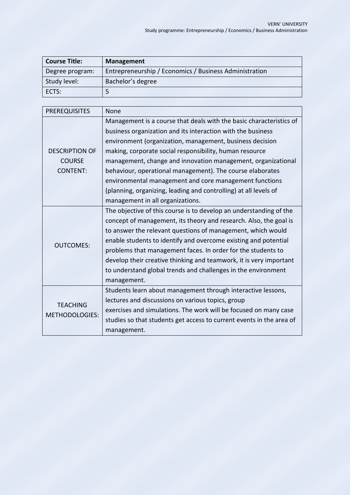| <b>Course Title:</b> | <b>Management</b>                                      |
|----------------------|--------------------------------------------------------|
| Degree program:      | Entrepreneurship / Economics / Business Administration |
| Study level:         | Bachelor's degree                                      |
| ECTS:                |                                                        |

| <b>PREREQUISITES</b>                     | None                                                                 |
|------------------------------------------|----------------------------------------------------------------------|
|                                          | Management is a course that deals with the basic characteristics of  |
|                                          | business organization and its interaction with the business          |
|                                          | environment (organization, management, business decision             |
| <b>DESCRIPTION OF</b>                    | making, corporate social responsibility, human resource              |
| <b>COURSE</b>                            | management, change and innovation management, organizational         |
| <b>CONTENT:</b>                          | behaviour, operational management). The course elaborates            |
|                                          | environmental management and core management functions               |
|                                          | (planning, organizing, leading and controlling) at all levels of     |
|                                          | management in all organizations.                                     |
|                                          | The objective of this course is to develop an understanding of the   |
|                                          | concept of management, its theory and research. Also, the goal is    |
|                                          | to answer the relevant questions of management, which would          |
| <b>OUTCOMES:</b>                         | enable students to identify and overcome existing and potential      |
|                                          | problems that management faces. In order for the students to         |
|                                          | develop their creative thinking and teamwork, it is very important   |
|                                          | to understand global trends and challenges in the environment        |
|                                          | management.                                                          |
| <b>TEACHING</b><br><b>METHODOLOGIES:</b> | Students learn about management through interactive lessons,         |
|                                          | lectures and discussions on various topics, group                    |
|                                          | exercises and simulations. The work will be focused on many case     |
|                                          | studies so that students get access to current events in the area of |
|                                          | management.                                                          |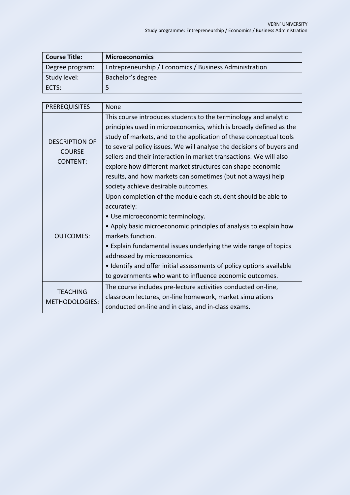| <b>Course Title:</b> | <b>Microeconomics</b>                                  |
|----------------------|--------------------------------------------------------|
| Degree program:      | Entrepreneurship / Economics / Business Administration |
| Study level:         | Bachelor's degree                                      |
| <b>'ECTS:</b>        |                                                        |

| <b>PREREQUISITES</b>                                      | None                                                                                                                                                                                                                                                                                                                                                                                                                                                                                                                            |
|-----------------------------------------------------------|---------------------------------------------------------------------------------------------------------------------------------------------------------------------------------------------------------------------------------------------------------------------------------------------------------------------------------------------------------------------------------------------------------------------------------------------------------------------------------------------------------------------------------|
| <b>DESCRIPTION OF</b><br><b>COURSE</b><br><b>CONTENT:</b> | This course introduces students to the terminology and analytic<br>principles used in microeconomics, which is broadly defined as the<br>study of markets, and to the application of these conceptual tools<br>to several policy issues. We will analyse the decisions of buyers and<br>sellers and their interaction in market transactions. We will also<br>explore how different market structures can shape economic<br>results, and how markets can sometimes (but not always) help<br>society achieve desirable outcomes. |
| <b>OUTCOMES:</b>                                          | Upon completion of the module each student should be able to<br>accurately:<br>• Use microeconomic terminology.<br>• Apply basic microeconomic principles of analysis to explain how<br>markets function.<br>• Explain fundamental issues underlying the wide range of topics<br>addressed by microeconomics.<br>• Identify and offer initial assessments of policy options available<br>to governments who want to influence economic outcomes.                                                                                |
| <b>TEACHING</b><br><b>METHODOLOGIES:</b>                  | The course includes pre-lecture activities conducted on-line,<br>classroom lectures, on-line homework, market simulations<br>conducted on-line and in class, and in-class exams.                                                                                                                                                                                                                                                                                                                                                |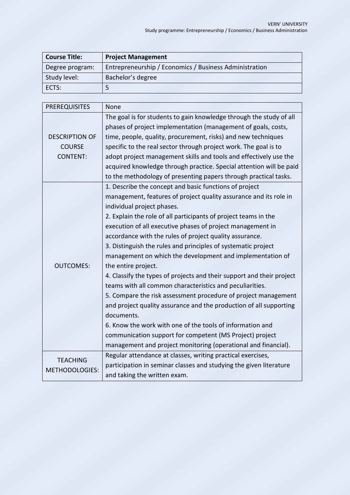| <b>Course Title:</b> | <b>Project Management</b>                              |
|----------------------|--------------------------------------------------------|
| Degree program:      | Entrepreneurship / Economics / Business Administration |
| Study level:         | Bachelor's degree                                      |
| <b>'ECTS:</b>        |                                                        |

| <b>PREREQUISITES</b>  | None                                                                  |
|-----------------------|-----------------------------------------------------------------------|
|                       | The goal is for students to gain knowledge through the study of all   |
|                       | phases of project implementation (management of goals, costs,         |
| <b>DESCRIPTION OF</b> | time, people, quality, procurement, risks) and new techniques         |
| <b>COURSE</b>         | specific to the real sector through project work. The goal is to      |
| <b>CONTENT:</b>       | adopt project management skills and tools and effectively use the     |
|                       | acquired knowledge through practice. Special attention will be paid   |
|                       | to the methodology of presenting papers through practical tasks.      |
|                       | 1. Describe the concept and basic functions of project                |
|                       | management, features of project quality assurance and its role in     |
|                       | individual project phases.                                            |
|                       | 2. Explain the role of all participants of project teams in the       |
|                       | execution of all executive phases of project management in            |
|                       | accordance with the rules of project quality assurance.               |
|                       | 3. Distinguish the rules and principles of systematic project         |
|                       | management on which the development and implementation of             |
| <b>OUTCOMES:</b>      | the entire project.                                                   |
|                       | 4. Classify the types of projects and their support and their project |
|                       | teams with all common characteristics and peculiarities.              |
|                       | 5. Compare the risk assessment procedure of project management        |
|                       | and project quality assurance and the production of all supporting    |
|                       | documents.                                                            |
|                       | 6. Know the work with one of the tools of information and             |
|                       | communication support for competent (MS Project) project              |
|                       | management and project monitoring (operational and financial).        |
| <b>TEACHING</b>       | Regular attendance at classes, writing practical exercises,           |
| METHODOLOGIES:        | participation in seminar classes and studying the given literature    |
|                       | and taking the written exam.                                          |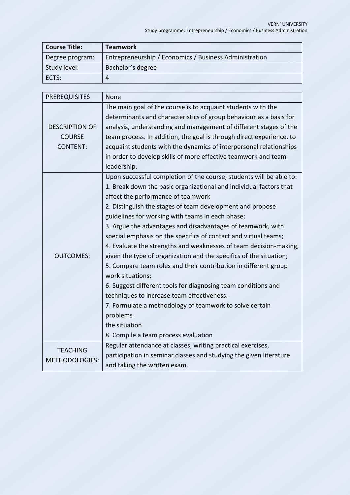| <b>Course Title:</b> | <b>Teamwork</b>                                        |
|----------------------|--------------------------------------------------------|
| Degree program:      | Entrepreneurship / Economics / Business Administration |
| Study level:         | Bachelor's degree                                      |
| ECTS:                |                                                        |

| <b>PREREQUISITES</b>  | None                                                                 |
|-----------------------|----------------------------------------------------------------------|
|                       | The main goal of the course is to acquaint students with the         |
|                       | determinants and characteristics of group behaviour as a basis for   |
| <b>DESCRIPTION OF</b> | analysis, understanding and management of different stages of the    |
| <b>COURSE</b>         | team process. In addition, the goal is through direct experience, to |
| <b>CONTENT:</b>       | acquaint students with the dynamics of interpersonal relationships   |
|                       | in order to develop skills of more effective teamwork and team       |
|                       | leadership.                                                          |
|                       | Upon successful completion of the course, students will be able to:  |
|                       | 1. Break down the basic organizational and individual factors that   |
|                       | affect the performance of teamwork                                   |
|                       | 2. Distinguish the stages of team development and propose            |
|                       | guidelines for working with teams in each phase;                     |
|                       | 3. Argue the advantages and disadvantages of teamwork, with          |
|                       | special emphasis on the specifics of contact and virtual teams;      |
|                       | 4. Evaluate the strengths and weaknesses of team decision-making,    |
| <b>OUTCOMES:</b>      | given the type of organization and the specifics of the situation;   |
|                       | 5. Compare team roles and their contribution in different group      |
|                       | work situations;                                                     |
|                       | 6. Suggest different tools for diagnosing team conditions and        |
|                       | techniques to increase team effectiveness.                           |
|                       | 7. Formulate a methodology of teamwork to solve certain              |
|                       | problems                                                             |
|                       | the situation                                                        |
|                       | 8. Compile a team process evaluation                                 |
| <b>TEACHING</b>       | Regular attendance at classes, writing practical exercises,          |
| <b>METHODOLOGIES:</b> | participation in seminar classes and studying the given literature   |
|                       | and taking the written exam.                                         |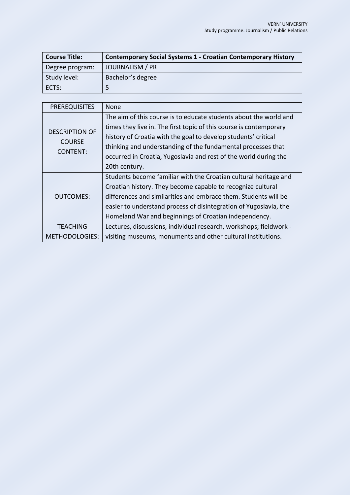| <b>Course Title:</b> | <b>Contemporary Social Systems 1 - Croatian Contemporary History</b> |
|----------------------|----------------------------------------------------------------------|
| Degree program:      | JOURNALISM / PR                                                      |
| Study level:         | Bachelor's degree                                                    |
| ECTS:                |                                                                      |

| <b>PREREQUISITES</b>                                      | <b>None</b>                                                        |
|-----------------------------------------------------------|--------------------------------------------------------------------|
| <b>DESCRIPTION OF</b><br><b>COURSE</b><br><b>CONTENT:</b> | The aim of this course is to educate students about the world and  |
|                                                           | times they live in. The first topic of this course is contemporary |
|                                                           | history of Croatia with the goal to develop students' critical     |
|                                                           | thinking and understanding of the fundamental processes that       |
|                                                           | occurred in Croatia, Yugoslavia and rest of the world during the   |
|                                                           | 20th century.                                                      |
|                                                           | Students become familiar with the Croatian cultural heritage and   |
|                                                           | Croatian history. They become capable to recognize cultural        |
| OUTCOMES:                                                 | differences and similarities and embrace them. Students will be    |
|                                                           | easier to understand process of disintegration of Yugoslavia, the  |
|                                                           | Homeland War and beginnings of Croatian independency.              |
| <b>TEACHING</b>                                           | Lectures, discussions, individual research, workshops; fieldwork - |
| METHODOLOGIES:                                            | visiting museums, monuments and other cultural institutions.       |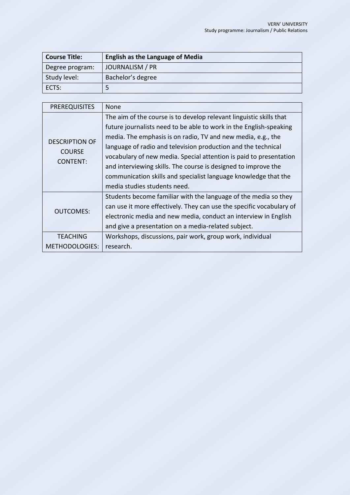| <b>Course Title:</b> | <b>English as the Language of Media</b> |
|----------------------|-----------------------------------------|
| Degree program:      | JOURNALISM / PR                         |
| Study level:         | Bachelor's degree                       |
| ECTS:                |                                         |

| <b>PREREQUISITES</b>                                      | <b>None</b>                                                                                                                                                                                                                                                                                                                                                                                                                                                                                                           |
|-----------------------------------------------------------|-----------------------------------------------------------------------------------------------------------------------------------------------------------------------------------------------------------------------------------------------------------------------------------------------------------------------------------------------------------------------------------------------------------------------------------------------------------------------------------------------------------------------|
| <b>DESCRIPTION OF</b><br><b>COURSE</b><br><b>CONTENT:</b> | The aim of the course is to develop relevant linguistic skills that<br>future journalists need to be able to work in the English-speaking<br>media. The emphasis is on radio, TV and new media, e.g., the<br>language of radio and television production and the technical<br>vocabulary of new media. Special attention is paid to presentation<br>and interviewing skills. The course is designed to improve the<br>communication skills and specialist language knowledge that the<br>media studies students need. |
| <b>OUTCOMES:</b>                                          | Students become familiar with the language of the media so they<br>can use it more effectively. They can use the specific vocabulary of<br>electronic media and new media, conduct an interview in English<br>and give a presentation on a media-related subject.                                                                                                                                                                                                                                                     |
| <b>TEACHING</b>                                           | Workshops, discussions, pair work, group work, individual                                                                                                                                                                                                                                                                                                                                                                                                                                                             |
| <b>METHODOLOGIES:</b>                                     | research.                                                                                                                                                                                                                                                                                                                                                                                                                                                                                                             |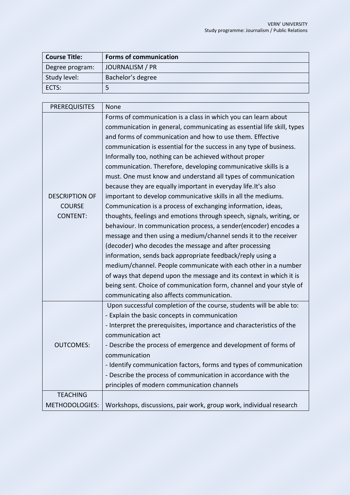| <b>Course Title:</b> | <b>Forms of communication</b> |
|----------------------|-------------------------------|
| Degree program:      | JOURNALISM / PR               |
| Study level:         | Bachelor's degree             |
| ECTS:                |                               |

| <b>PREREQUISITES</b>  | None                                                                   |
|-----------------------|------------------------------------------------------------------------|
|                       | Forms of communication is a class in which you can learn about         |
|                       | communication in general, communicating as essential life skill, types |
|                       | and forms of communication and how to use them. Effective              |
|                       | communication is essential for the success in any type of business.    |
|                       | Informally too, nothing can be achieved without proper                 |
|                       | communication. Therefore, developing communicative skills is a         |
|                       | must. One must know and understand all types of communication          |
|                       | because they are equally important in everyday life. It's also         |
| <b>DESCRIPTION OF</b> | important to develop communicative skills in all the mediums.          |
| <b>COURSE</b>         | Communication is a process of exchanging information, ideas,           |
| <b>CONTENT:</b>       | thoughts, feelings and emotions through speech, signals, writing, or   |
|                       | behaviour. In communication process, a sender(encoder) encodes a       |
|                       | message and then using a medium/channel sends it to the receiver       |
|                       | (decoder) who decodes the message and after processing                 |
|                       | information, sends back appropriate feedback/reply using a             |
|                       | medium/channel. People communicate with each other in a number         |
|                       | of ways that depend upon the message and its context in which it is    |
|                       | being sent. Choice of communication form, channel and your style of    |
|                       | communicating also affects communication.                              |
|                       | Upon successful completion of the course, students will be able to:    |
|                       | - Explain the basic concepts in communication                          |
|                       | - Interpret the prerequisites, importance and characteristics of the   |
|                       | communication act                                                      |
| <b>OUTCOMES:</b>      | - Describe the process of emergence and development of forms of        |
|                       | communication                                                          |
|                       | - Identify communication factors, forms and types of communication     |
|                       | - Describe the process of communication in accordance with the         |
|                       | principles of modern communication channels                            |
| <b>TEACHING</b>       |                                                                        |
| <b>METHODOLOGIES:</b> | Workshops, discussions, pair work, group work, individual research     |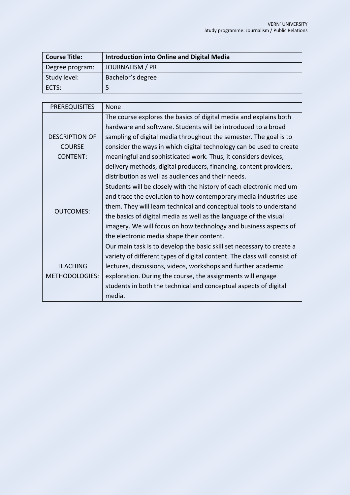| <b>Course Title:</b> | <b>Introduction into Online and Digital Media</b> |
|----------------------|---------------------------------------------------|
| Degree program:      | JOURNALISM / PR                                   |
| Study level:         | Bachelor's degree                                 |
| ECTS:                |                                                   |

| <b>PREREQUISITES</b>  | <b>None</b>                                                              |
|-----------------------|--------------------------------------------------------------------------|
|                       | The course explores the basics of digital media and explains both        |
|                       | hardware and software. Students will be introduced to a broad            |
| <b>DESCRIPTION OF</b> | sampling of digital media throughout the semester. The goal is to        |
| <b>COURSE</b>         | consider the ways in which digital technology can be used to create      |
| <b>CONTENT:</b>       | meaningful and sophisticated work. Thus, it considers devices,           |
|                       | delivery methods, digital producers, financing, content providers,       |
|                       | distribution as well as audiences and their needs.                       |
|                       | Students will be closely with the history of each electronic medium      |
| <b>OUTCOMES:</b>      | and trace the evolution to how contemporary media industries use         |
|                       | them. They will learn technical and conceptual tools to understand       |
|                       | the basics of digital media as well as the language of the visual        |
|                       | imagery. We will focus on how technology and business aspects of         |
|                       | the electronic media shape their content.                                |
|                       | Our main task is to develop the basic skill set necessary to create a    |
|                       | variety of different types of digital content. The class will consist of |
| <b>TEACHING</b>       | lectures, discussions, videos, workshops and further academic            |
| <b>METHODOLOGIES:</b> | exploration. During the course, the assignments will engage              |
|                       | students in both the technical and conceptual aspects of digital         |
|                       | media.                                                                   |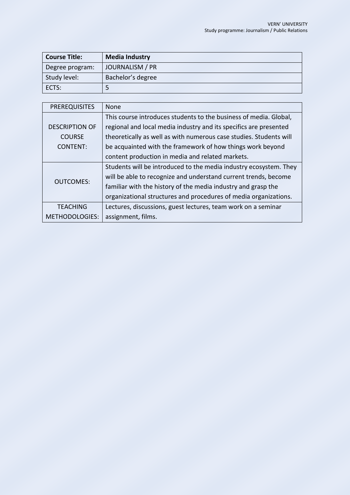| <b>Course Title:</b> | <b>Media Industry</b> |
|----------------------|-----------------------|
| Degree program:      | JOURNALISM / PR       |
| Study level:         | Bachelor's degree     |
| ECTS:                |                       |

| <b>PREREQUISITES</b>  | <b>None</b>                                                        |
|-----------------------|--------------------------------------------------------------------|
|                       | This course introduces students to the business of media. Global,  |
| <b>DESCRIPTION OF</b> | regional and local media industry and its specifics are presented  |
| <b>COURSE</b>         | theoretically as well as with numerous case studies. Students will |
| CONTENT:              | be acquainted with the framework of how things work beyond         |
|                       | content production in media and related markets.                   |
| OUTCOMES:             | Students will be introduced to the media industry ecosystem. They  |
|                       | will be able to recognize and understand current trends, become    |
|                       | familiar with the history of the media industry and grasp the      |
|                       | organizational structures and procedures of media organizations.   |
| <b>TEACHING</b>       | Lectures, discussions, guest lectures, team work on a seminar      |
| METHODOLOGIES:        | assignment, films.                                                 |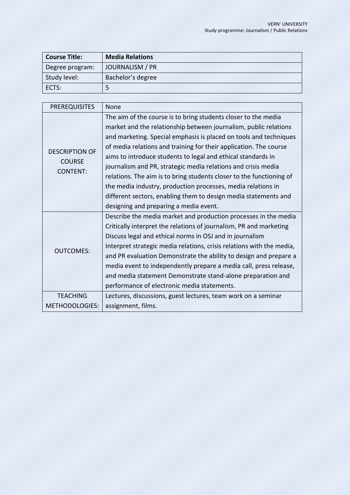| <b>Course Title:</b> | <b>Media Relations</b> |
|----------------------|------------------------|
| Degree program:      | JOURNALISM / PR        |
| Study level:         | Bachelor's degree      |
| ECTS:                |                        |

| <b>PREREQUISITES</b>  | <b>None</b>                                                           |
|-----------------------|-----------------------------------------------------------------------|
|                       | The aim of the course is to bring students closer to the media        |
|                       | market and the relationship between journalism, public relations      |
|                       | and marketing. Special emphasis is placed on tools and techniques     |
| <b>DESCRIPTION OF</b> | of media relations and training for their application. The course     |
| <b>COURSE</b>         | aims to introduce students to legal and ethical standards in          |
| <b>CONTENT:</b>       | journalism and PR, strategic media relations and crisis media         |
|                       | relations. The aim is to bring students closer to the functioning of  |
|                       | the media industry, production processes, media relations in          |
|                       | different sectors, enabling them to design media statements and       |
|                       | designing and preparing a media event.                                |
|                       | Describe the media market and production processes in the media       |
|                       | Critically interpret the relations of journalism, PR and marketing    |
|                       | Discuss legal and ethical norms in OSJ and in journalism              |
|                       | Interpret strategic media relations, crisis relations with the media, |
| <b>OUTCOMES:</b>      | and PR evaluation Demonstrate the ability to design and prepare a     |
|                       | media event to independently prepare a media call, press release,     |
|                       | and media statement Demonstrate stand-alone preparation and           |
|                       | performance of electronic media statements.                           |
| <b>TEACHING</b>       | Lectures, discussions, guest lectures, team work on a seminar         |
| <b>METHODOLOGIES:</b> | assignment, films.                                                    |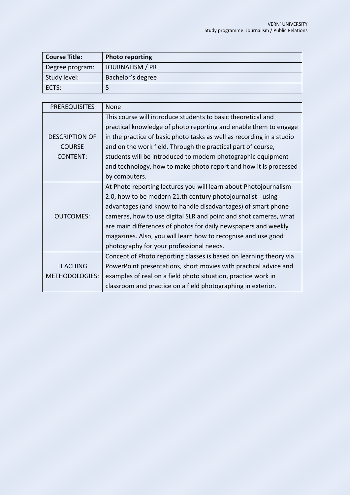| <b>Course Title:</b> | <b>Photo reporting</b> |
|----------------------|------------------------|
| Degree program:      | JOURNALISM / PR        |
| Study level:         | Bachelor's degree      |
| ECTS:                |                        |

| <b>PREREQUISITES</b>  | None                                                                  |
|-----------------------|-----------------------------------------------------------------------|
|                       | This course will introduce students to basic theoretical and          |
|                       | practical knowledge of photo reporting and enable them to engage      |
| <b>DESCRIPTION OF</b> | in the practice of basic photo tasks as well as recording in a studio |
| <b>COURSE</b>         | and on the work field. Through the practical part of course,          |
| <b>CONTENT:</b>       | students will be introduced to modern photographic equipment          |
|                       | and technology, how to make photo report and how it is processed      |
|                       | by computers.                                                         |
|                       | At Photo reporting lectures you will learn about Photojournalism      |
|                       | 2.0, how to be modern 21.th century photojournalist - using           |
|                       | advantages (and know to handle disadvantages) of smart phone          |
| <b>OUTCOMES:</b>      | cameras, how to use digital SLR and point and shot cameras, what      |
|                       | are main differences of photos for daily newspapers and weekly        |
|                       | magazines. Also, you will learn how to recognise and use good         |
|                       | photography for your professional needs.                              |
|                       | Concept of Photo reporting classes is based on learning theory via    |
| <b>TEACHING</b>       | PowerPoint presentations, short movies with practical advice and      |
| METHODOLOGIES:        | examples of real on a field photo situation, practice work in         |
|                       | classroom and practice on a field photographing in exterior.          |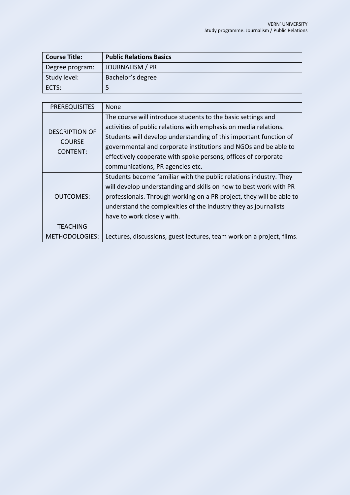| <b>Course Title:</b> | <b>Public Relations Basics</b> |
|----------------------|--------------------------------|
| Degree program:      | JOURNALISM / PR                |
| Study level:         | Bachelor's degree              |
| l ects:              |                                |

| <b>PREREQUISITES</b>                                      | <b>None</b>                                                                                                                                                                                                                                                                                                                                |
|-----------------------------------------------------------|--------------------------------------------------------------------------------------------------------------------------------------------------------------------------------------------------------------------------------------------------------------------------------------------------------------------------------------------|
| <b>DESCRIPTION OF</b><br><b>COURSE</b><br><b>CONTENT:</b> | The course will introduce students to the basic settings and<br>activities of public relations with emphasis on media relations.<br>Students will develop understanding of this important function of<br>governmental and corporate institutions and NGOs and be able to<br>effectively cooperate with spoke persons, offices of corporate |
|                                                           | communications, PR agencies etc.                                                                                                                                                                                                                                                                                                           |
| <b>OUTCOMES:</b>                                          | Students become familiar with the public relations industry. They<br>will develop understanding and skills on how to best work with PR<br>professionals. Through working on a PR project, they will be able to<br>understand the complexities of the industry they as journalists<br>have to work closely with.                            |
| <b>TEACHING</b>                                           |                                                                                                                                                                                                                                                                                                                                            |
| METHODOLOGIES:                                            | Lectures, discussions, guest lectures, team work on a project, films.                                                                                                                                                                                                                                                                      |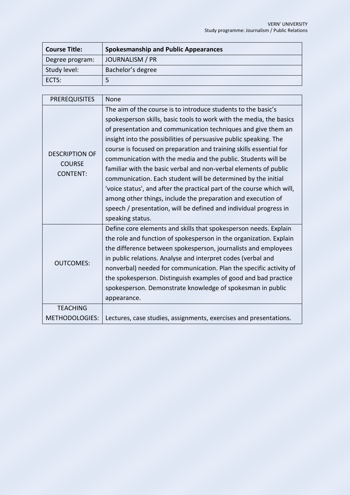| <b>Course Title:</b> | <b>Spokesmanship and Public Appearances</b> |
|----------------------|---------------------------------------------|
| Degree program:      | JOURNALISM / PR                             |
| Study level:         | Bachelor's degree                           |
| ECTS:                |                                             |

| <b>PREREQUISITES</b>  | None                                                                   |
|-----------------------|------------------------------------------------------------------------|
|                       | The aim of the course is to introduce students to the basic's          |
|                       | spokesperson skills, basic tools to work with the media, the basics    |
|                       | of presentation and communication techniques and give them an          |
|                       | insight into the possibilities of persuasive public speaking. The      |
| <b>DESCRIPTION OF</b> | course is focused on preparation and training skills essential for     |
| <b>COURSE</b>         | communication with the media and the public. Students will be          |
| <b>CONTENT:</b>       | familiar with the basic verbal and non-verbal elements of public       |
|                       | communication. Each student will be determined by the initial          |
|                       | 'voice status', and after the practical part of the course which will, |
|                       | among other things, include the preparation and execution of           |
|                       | speech / presentation, will be defined and individual progress in      |
|                       | speaking status.                                                       |
|                       | Define core elements and skills that spokesperson needs. Explain       |
|                       | the role and function of spokesperson in the organization. Explain     |
|                       | the difference between spokesperson, journalists and employees         |
| <b>OUTCOMES:</b>      | in public relations. Analyse and interpret codes (verbal and           |
|                       | nonverbal) needed for communication. Plan the specific activity of     |
|                       | the spokesperson. Distinguish examples of good and bad practice        |
|                       | spokesperson. Demonstrate knowledge of spokesman in public             |
|                       | appearance.                                                            |
| <b>TEACHING</b>       |                                                                        |
| <b>METHODOLOGIES:</b> | Lectures, case studies, assignments, exercises and presentations.      |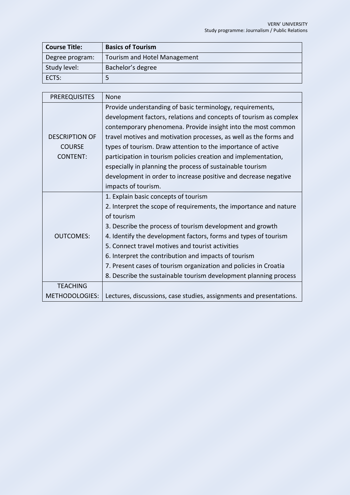| <b>Course Title:</b> | <b>Basics of Tourism</b>     |
|----------------------|------------------------------|
| Degree program:      | Tourism and Hotel Management |
| Study level:         | Bachelor's degree            |
| ECTS:                |                              |

| <b>PREREQUISITES</b>  | <b>None</b>                                                         |
|-----------------------|---------------------------------------------------------------------|
|                       | Provide understanding of basic terminology, requirements,           |
|                       | development factors, relations and concepts of tourism as complex   |
|                       | contemporary phenomena. Provide insight into the most common        |
| <b>DESCRIPTION OF</b> | travel motives and motivation processes, as well as the forms and   |
| <b>COURSE</b>         | types of tourism. Draw attention to the importance of active        |
| <b>CONTENT:</b>       | participation in tourism policies creation and implementation,      |
|                       | especially in planning the process of sustainable tourism           |
|                       | development in order to increase positive and decrease negative     |
|                       | impacts of tourism.                                                 |
|                       | 1. Explain basic concepts of tourism                                |
|                       | 2. Interpret the scope of requirements, the importance and nature   |
|                       | of tourism                                                          |
|                       | 3. Describe the process of tourism development and growth           |
| <b>OUTCOMES:</b>      | 4. Identify the development factors, forms and types of tourism     |
|                       | 5. Connect travel motives and tourist activities                    |
|                       | 6. Interpret the contribution and impacts of tourism                |
|                       | 7. Present cases of tourism organization and policies in Croatia    |
|                       | 8. Describe the sustainable tourism development planning process    |
| <b>TEACHING</b>       |                                                                     |
| <b>METHODOLOGIES:</b> | Lectures, discussions, case studies, assignments and presentations. |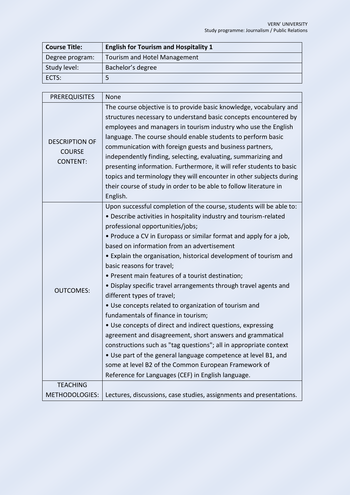| <b>Course Title:</b> | <b>English for Tourism and Hospitality 1</b> |
|----------------------|----------------------------------------------|
| Degree program:      | Tourism and Hotel Management                 |
| Study level:         | Bachelor's degree                            |
| ECTS:                |                                              |

| <b>PREREQUISITES</b>  | None                                                                 |
|-----------------------|----------------------------------------------------------------------|
| <b>DESCRIPTION OF</b> | The course objective is to provide basic knowledge, vocabulary and   |
|                       | structures necessary to understand basic concepts encountered by     |
|                       | employees and managers in tourism industry who use the English       |
|                       | language. The course should enable students to perform basic         |
| <b>COURSE</b>         | communication with foreign guests and business partners,             |
| <b>CONTENT:</b>       | independently finding, selecting, evaluating, summarizing and        |
|                       | presenting information. Furthermore, it will refer students to basic |
|                       | topics and terminology they will encounter in other subjects during  |
|                       | their course of study in order to be able to follow literature in    |
|                       | English.                                                             |
|                       | Upon successful completion of the course, students will be able to:  |
|                       | • Describe activities in hospitality industry and tourism-related    |
|                       | professional opportunities/jobs;                                     |
|                       | • Produce a CV in Europass or similar format and apply for a job,    |
|                       | based on information from an advertisement                           |
|                       | • Explain the organisation, historical development of tourism and    |
|                       | basic reasons for travel;                                            |
|                       | • Present main features of a tourist destination;                    |
| <b>OUTCOMES:</b>      | • Display specific travel arrangements through travel agents and     |
|                       | different types of travel;                                           |
|                       | • Use concepts related to organization of tourism and                |
|                       | fundamentals of finance in tourism;                                  |
|                       | • Use concepts of direct and indirect questions, expressing          |
|                       | agreement and disagreement, short answers and grammatical            |
|                       | constructions such as "tag questions"; all in appropriate context    |
|                       | • Use part of the general language competence at level B1, and       |
|                       | some at level B2 of the Common European Framework of                 |
|                       | Reference for Languages (CEF) in English language.                   |
| <b>TEACHING</b>       |                                                                      |
| <b>METHODOLOGIES:</b> | Lectures, discussions, case studies, assignments and presentations.  |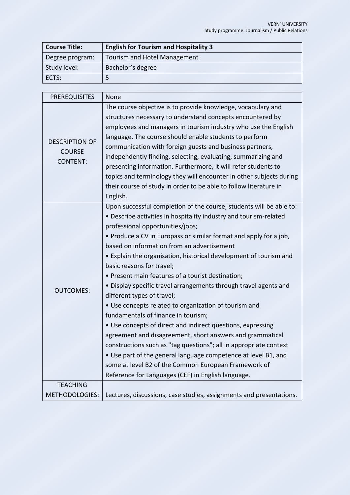| <b>Course Title:</b> | <b>English for Tourism and Hospitality 3</b> |
|----------------------|----------------------------------------------|
| Degree program:      | Tourism and Hotel Management                 |
| Study level:         | Bachelor's degree                            |
| ECTS:                |                                              |

| <b>PREREQUISITES</b>  | None                                                                |
|-----------------------|---------------------------------------------------------------------|
|                       | The course objective is to provide knowledge, vocabulary and        |
|                       | structures necessary to understand concepts encountered by          |
|                       | employees and managers in tourism industry who use the English      |
| <b>DESCRIPTION OF</b> | language. The course should enable students to perform              |
| <b>COURSE</b>         | communication with foreign guests and business partners,            |
| <b>CONTENT:</b>       | independently finding, selecting, evaluating, summarizing and       |
|                       | presenting information. Furthermore, it will refer students to      |
|                       | topics and terminology they will encounter in other subjects during |
|                       | their course of study in order to be able to follow literature in   |
|                       | English.                                                            |
|                       | Upon successful completion of the course, students will be able to: |
|                       | • Describe activities in hospitality industry and tourism-related   |
|                       | professional opportunities/jobs;                                    |
|                       | • Produce a CV in Europass or similar format and apply for a job,   |
|                       | based on information from an advertisement                          |
|                       | • Explain the organisation, historical development of tourism and   |
|                       | basic reasons for travel;                                           |
|                       | • Present main features of a tourist destination;                   |
| <b>OUTCOMES:</b>      | • Display specific travel arrangements through travel agents and    |
|                       | different types of travel;                                          |
|                       | • Use concepts related to organization of tourism and               |
|                       | fundamentals of finance in tourism;                                 |
|                       | • Use concepts of direct and indirect questions, expressing         |
|                       | agreement and disagreement, short answers and grammatical           |
|                       | constructions such as "tag questions"; all in appropriate context   |
|                       | • Use part of the general language competence at level B1, and      |
|                       | some at level B2 of the Common European Framework of                |
|                       | Reference for Languages (CEF) in English language.                  |
| <b>TEACHING</b>       |                                                                     |
| <b>METHODOLOGIES:</b> | Lectures, discussions, case studies, assignments and presentations. |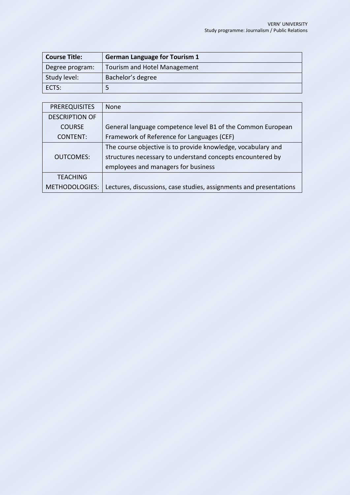| <b>Course Title:</b> | <b>German Language for Tourism 1</b> |
|----------------------|--------------------------------------|
| Degree program:      | Tourism and Hotel Management         |
| Study level:         | Bachelor's degree                    |
| ECTS:                |                                      |

| <b>PREREQUISITES</b>  | <b>None</b>                                                        |
|-----------------------|--------------------------------------------------------------------|
| <b>DESCRIPTION OF</b> |                                                                    |
| <b>COURSE</b>         | General language competence level B1 of the Common European        |
| <b>CONTENT:</b>       | Framework of Reference for Languages (CEF)                         |
|                       | The course objective is to provide knowledge, vocabulary and       |
| <b>OUTCOMES:</b>      | structures necessary to understand concepts encountered by         |
|                       | employees and managers for business                                |
| <b>TEACHING</b>       |                                                                    |
| METHODOLOGIES:        | Lectures, discussions, case studies, assignments and presentations |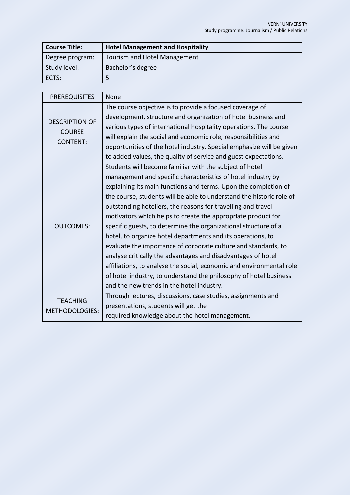| <b>Course Title:</b> | <b>Hotel Management and Hospitality</b> |
|----------------------|-----------------------------------------|
| Degree program:      | Tourism and Hotel Management            |
| Study level:         | Bachelor's degree                       |
| ECTS:                | כ                                       |

| <b>PREREQUISITES</b>                                      | None                                                                                                                                                                                                                                                                                                                                                                                                                                                                                                                                                                                                                                                                                                                                                                                                                                                             |
|-----------------------------------------------------------|------------------------------------------------------------------------------------------------------------------------------------------------------------------------------------------------------------------------------------------------------------------------------------------------------------------------------------------------------------------------------------------------------------------------------------------------------------------------------------------------------------------------------------------------------------------------------------------------------------------------------------------------------------------------------------------------------------------------------------------------------------------------------------------------------------------------------------------------------------------|
| <b>DESCRIPTION OF</b><br><b>COURSE</b><br><b>CONTENT:</b> | The course objective is to provide a focused coverage of<br>development, structure and organization of hotel business and                                                                                                                                                                                                                                                                                                                                                                                                                                                                                                                                                                                                                                                                                                                                        |
|                                                           | various types of international hospitality operations. The course<br>will explain the social and economic role, responsibilities and                                                                                                                                                                                                                                                                                                                                                                                                                                                                                                                                                                                                                                                                                                                             |
|                                                           | opportunities of the hotel industry. Special emphasize will be given<br>to added values, the quality of service and guest expectations.                                                                                                                                                                                                                                                                                                                                                                                                                                                                                                                                                                                                                                                                                                                          |
| <b>OUTCOMES:</b>                                          | Students will become familiar with the subject of hotel<br>management and specific characteristics of hotel industry by<br>explaining its main functions and terms. Upon the completion of<br>the course, students will be able to understand the historic role of<br>outstanding hoteliers, the reasons for travelling and travel<br>motivators which helps to create the appropriate product for<br>specific guests, to determine the organizational structure of a<br>hotel, to organize hotel departments and its operations, to<br>evaluate the importance of corporate culture and standards, to<br>analyse critically the advantages and disadvantages of hotel<br>affiliations, to analyse the social, economic and environmental role<br>of hotel industry, to understand the philosophy of hotel business<br>and the new trends in the hotel industry. |
| <b>TEACHING</b><br><b>METHODOLOGIES:</b>                  | Through lectures, discussions, case studies, assignments and<br>presentations, students will get the<br>required knowledge about the hotel management.                                                                                                                                                                                                                                                                                                                                                                                                                                                                                                                                                                                                                                                                                                           |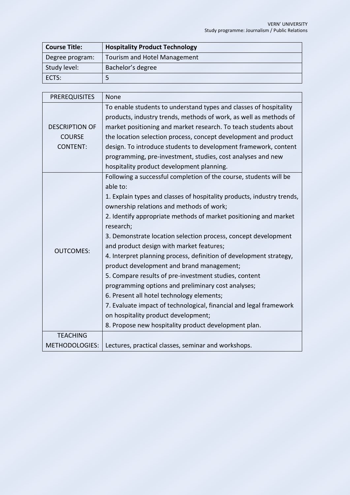| <b>Course Title:</b> | <b>Hospitality Product Technology</b> |
|----------------------|---------------------------------------|
| Degree program:      | Tourism and Hotel Management          |
| Study level:         | Bachelor's degree                     |
| ECTS:                |                                       |

| <b>PREREQUISITES</b>  | None                                                                   |
|-----------------------|------------------------------------------------------------------------|
|                       | To enable students to understand types and classes of hospitality      |
|                       | products, industry trends, methods of work, as well as methods of      |
| <b>DESCRIPTION OF</b> | market positioning and market research. To teach students about        |
| <b>COURSE</b>         | the location selection process, concept development and product        |
| <b>CONTENT:</b>       | design. To introduce students to development framework, content        |
|                       | programming, pre-investment, studies, cost analyses and new            |
|                       | hospitality product development planning.                              |
|                       | Following a successful completion of the course, students will be      |
|                       | able to:                                                               |
|                       | 1. Explain types and classes of hospitality products, industry trends, |
|                       | ownership relations and methods of work;                               |
|                       | 2. Identify appropriate methods of market positioning and market       |
|                       | research;                                                              |
|                       | 3. Demonstrate location selection process, concept development         |
| <b>OUTCOMES:</b>      | and product design with market features;                               |
|                       | 4. Interpret planning process, definition of development strategy,     |
|                       | product development and brand management;                              |
|                       | 5. Compare results of pre-investment studies, content                  |
|                       | programming options and preliminary cost analyses;                     |
|                       | 6. Present all hotel technology elements;                              |
|                       | 7. Evaluate impact of technological, financial and legal framework     |
|                       | on hospitality product development;                                    |
|                       | 8. Propose new hospitality product development plan.                   |
| <b>TEACHING</b>       |                                                                        |
| <b>METHODOLOGIES:</b> | Lectures, practical classes, seminar and workshops.                    |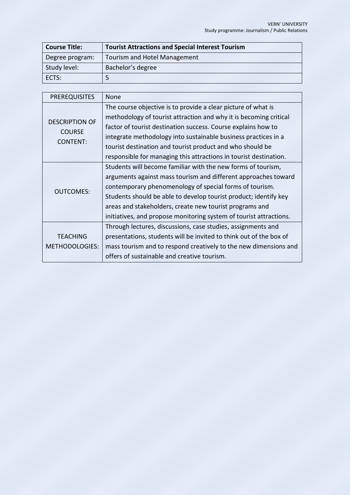| <b>Course Title:</b> | <b>Tourist Attractions and Special Interest Tourism</b> |
|----------------------|---------------------------------------------------------|
| Degree program:      | Tourism and Hotel Management                            |
| Study level:         | Bachelor's degree                                       |
| ECTS:                | ∽                                                       |

| <b>PREREQUISITES</b>                                      | <b>None</b>                                                        |
|-----------------------------------------------------------|--------------------------------------------------------------------|
| <b>DESCRIPTION OF</b><br><b>COURSE</b><br><b>CONTENT:</b> | The course objective is to provide a clear picture of what is      |
|                                                           | methodology of tourist attraction and why it is becoming critical  |
|                                                           | factor of tourist destination success. Course explains how to      |
|                                                           | integrate methodology into sustainable business practices in a     |
|                                                           | tourist destination and tourist product and who should be          |
|                                                           | responsible for managing this attractions in tourist destination.  |
| <b>OUTCOMES:</b>                                          | Students will become familiar with the new forms of tourism,       |
|                                                           | arguments against mass tourism and different approaches toward     |
|                                                           | contemporary phenomenology of special forms of tourism.            |
|                                                           | Students should be able to develop tourist product; identify key   |
|                                                           | areas and stakeholders, create new tourist programs and            |
|                                                           | initiatives, and propose monitoring system of tourist attractions. |
|                                                           | Through lectures, discussions, case studies, assignments and       |
| <b>TEACHING</b>                                           | presentations, students will be invited to think out of the box of |
| <b>METHODOLOGIES:</b>                                     | mass tourism and to respond creatively to the new dimensions and   |
|                                                           | offers of sustainable and creative tourism.                        |